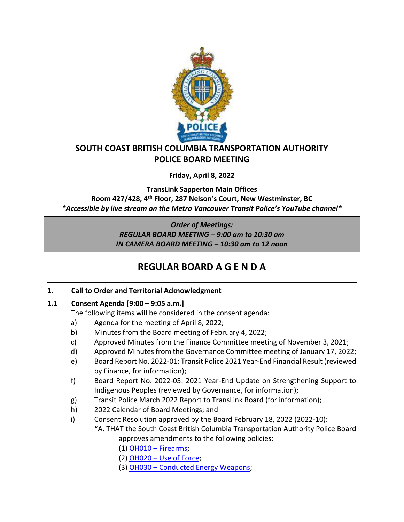

## **SOUTH COAST BRITISH COLUMBIA TRANSPORTATION AUTHORITY POLICE BOARD MEETING**

**Friday, April 8, 2022**

**TransLink Sapperton Main Offices Room 427/428, 4th Floor, 287 Nelson's Court, New Westminster, BC** *\*Accessible by live stream on the Metro Vancouver Transit Police's YouTube channel\**

> *Order of Meetings: REGULAR BOARD MEETING – 9:00 am to 10:30 am IN CAMERA BOARD MEETING – 10:30 am to 12 noon*

# **REGULAR BOARD A G E N D A**

## **1. Call to Order and Territorial Acknowledgment**

## **1.1 Consent Agenda [9:00 – 9:05 a.m.]**

- The following items will be considered in the consent agenda:
- a) Agenda for the meeting of April 8, 2022;
- b) Minutes from the Board meeting of February 4, 2022;
- c) Approved Minutes from the Finance Committee meeting of November 3, 2021;
- d) Approved Minutes from the Governance Committee meeting of January 17, 2022;
- e) Board Report No. 2022-01: Transit Police 2021 Year-End Financial Result (reviewed by Finance, for information);
- f) Board Report No. 2022-05: 2021 Year-End Update on Strengthening Support to Indigenous Peoples (reviewed by Governance, for information);
- g) Transit Police March 2022 Report to TransLink Board (for information);
- h) 2022 Calendar of Board Meetings; and
- i) Consent Resolution approved by the Board February 18, 2022 (2022-10): "A. THAT the South Coast British Columbia Transportation Authority Police Board

approves amendments to the following policies:

- (1) OH010 [Firearms;](https://transitpolice.ca/wp-content/uploads/2022/03/OH010-Firearms-TP2022-02-18_Redacted.secured.pdf)
- (2) OH020 [Use of Force;](https://transitpolice.ca/wp-content/uploads/2022/03/OH020-Use-of-Force-TP2022-02-18_Redacted.secured.pdf)
- (3) OH030 [Conducted Energy Weapons;](https://transitpolice.ca/wp-content/uploads/2022/03/OH030-Conducted-Energy-Weapon-TP2022-02-18_Redacted.secured.pdf)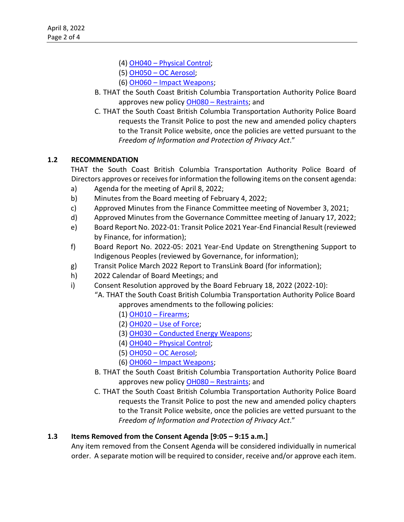- (4) OH040 [Physical Control;](https://transitpolice.ca/wp-content/uploads/2022/03/OH040-Physical-Control-TP2022-02-18_Redacted.secured.pdf)
- (5) OH050 [OC Aerosol;](https://transitpolice.ca/wp-content/uploads/2022/03/OH050-OC-Aerosol-TP2022-02-18_Redacted.secured.pdf)
- (6) OH060 [Impact Weapons;](https://transitpolice.ca/wp-content/uploads/2022/03/OH060-Impact-Weapons-TP2022-02-18_Redacted.secured.pdf)
- B. THAT the South Coast British Columbia Transportation Authority Police Board approves new policy OH080 – [Restraints;](https://transitpolice.ca/wp-content/uploads/2022/03/OH080-Restraints-TP2022-02-18_Redacted.pdf) and
- C. THAT the South Coast British Columbia Transportation Authority Police Board requests the Transit Police to post the new and amended policy chapters to the Transit Police website, once the policies are vetted pursuant to the *Freedom of Information and Protection of Privacy Act*."

## **1.2 RECOMMENDATION**

THAT the South Coast British Columbia Transportation Authority Police Board of Directors approves or receives for information the following items on the consent agenda:

- a) Agenda for the meeting of April 8, 2022;
- b) Minutes from the Board meeting of February 4, 2022;
- c) Approved Minutes from the Finance Committee meeting of November 3, 2021;
- d) Approved Minutes from the Governance Committee meeting of January 17, 2022;
- e) Board Report No. 2022-01: Transit Police 2021 Year-End Financial Result (reviewed by Finance, for information);
- f) Board Report No. 2022-05: 2021 Year-End Update on Strengthening Support to Indigenous Peoples (reviewed by Governance, for information);
- g) Transit Police March 2022 Report to TransLink Board (for information);
- h) 2022 Calendar of Board Meetings; and
- i) Consent Resolution approved by the Board February 18, 2022 (2022-10):
	- "A. THAT the South Coast British Columbia Transportation Authority Police Board approves amendments to the following policies:
		- (1) OH010 [Firearms;](https://transitpolice.ca/wp-content/uploads/2022/03/OH010-Firearms-TP2022-02-18_Redacted.secured.pdf)
		- (2) OH020 [Use of Force;](https://transitpolice.ca/wp-content/uploads/2022/03/OH020-Use-of-Force-TP2022-02-18_Redacted.secured.pdf)
		- (3) OH030 [Conducted Energy Weapons;](https://transitpolice.ca/wp-content/uploads/2022/03/OH030-Conducted-Energy-Weapon-TP2022-02-18_Redacted.secured.pdf)
		- (4) OH040 [Physical Control;](https://transitpolice.ca/wp-content/uploads/2022/03/OH040-Physical-Control-TP2022-02-18_Redacted.secured.pdf)
		- (5) OH050 [OC Aerosol;](https://transitpolice.ca/wp-content/uploads/2022/03/OH050-OC-Aerosol-TP2022-02-18_Redacted.secured.pdf)
		- (6) OH060 [Impact Weapons;](https://transitpolice.ca/wp-content/uploads/2022/03/OH060-Impact-Weapons-TP2022-02-18_Redacted.secured.pdf)
	- B. THAT the South Coast British Columbia Transportation Authority Police Board approves new policy OH080 – [Restraints;](https://transitpolice.ca/wp-content/uploads/2022/03/OH080-Restraints-TP2022-02-18_Redacted.pdf) and
	- C. THAT the South Coast British Columbia Transportation Authority Police Board requests the Transit Police to post the new and amended policy chapters to the Transit Police website, once the policies are vetted pursuant to the *Freedom of Information and Protection of Privacy Act*."

### **1.3 Items Removed from the Consent Agenda [9:05 – 9:15 a.m.]**

Any item removed from the Consent Agenda will be considered individually in numerical order. A separate motion will be required to consider, receive and/or approve each item.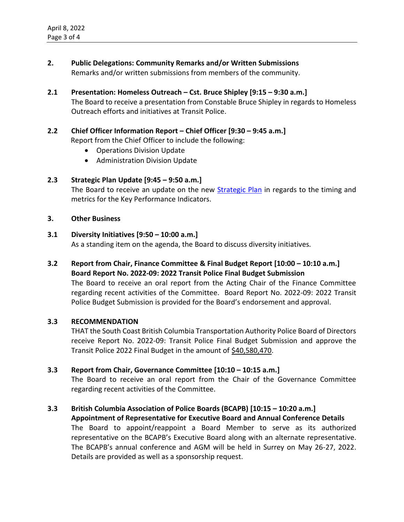- **2. Public Delegations: Community Remarks and/or Written Submissions** Remarks and/or written submissions from members of the community.
- **2.1 Presentation: Homeless Outreach – Cst. Bruce Shipley [9:15 – 9:30 a.m.]** The Board to receive a presentation from Constable Bruce Shipley in regards to Homeless Outreach efforts and initiatives at Transit Police.
- **2.2 Chief Officer Information Report – Chief Officer [9:30 – 9:45 a.m.]** Report from the Chief Officer to include the following:
	- Operations Division Update
	- Administration Division Update

#### **2.3 Strategic Plan Update [9:45 – 9:50 a.m.]**

The Board to receive an update on the new [Strategic Plan](https://transitpolice.ca/wp-content/uploads/2022/01/Transit-Police-Strategic-Plan-20211208-v10-FINAL-web-spreads.pdf) in regards to the timing and metrics for the Key Performance Indicators.

#### **3. Other Business**

#### **3.1 Diversity Initiatives [9:50 – 10:00 a.m.]**

As a standing item on the agenda, the Board to discuss diversity initiatives.

**3.2 Report from Chair, Finance Committee & Final Budget Report [10:00 – 10:10 a.m.] Board Report No. 2022-09: 2022 Transit Police Final Budget Submission**

The Board to receive an oral report from the Acting Chair of the Finance Committee regarding recent activities of the Committee. Board Report No. 2022-09: 2022 Transit Police Budget Submission is provided for the Board's endorsement and approval.

#### **3.3 RECOMMENDATION**

THAT the South Coast British Columbia Transportation Authority Police Board of Directors receive Report No. 2022-09: Transit Police Final Budget Submission and approve the Transit Police 2022 Final Budget in the amount of \$40,580,470.

#### **3.3 Report from Chair, Governance Committee [10:10 – 10:15 a.m.]**

The Board to receive an oral report from the Chair of the Governance Committee regarding recent activities of the Committee.

#### **3.3 British Columbia Association of Police Boards (BCAPB) [10:15 – 10:20 a.m.] Appointment of Representative for Executive Board and Annual Conference Details**

The Board to appoint/reappoint a Board Member to serve as its authorized representative on the BCAPB's Executive Board along with an alternate representative. The BCAPB's annual conference and AGM will be held in Surrey on May 26-27, 2022. Details are provided as well as a sponsorship request.